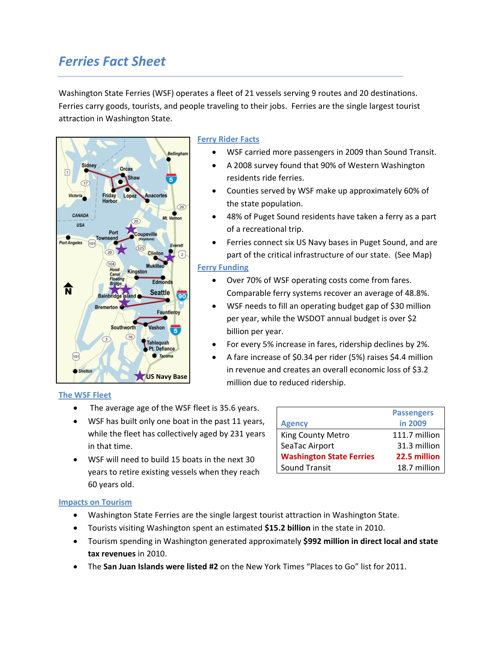## *Ferries Fact Sheet*

Washington State Ferries (WSF) operates a fleet of 21 vessels serving 9 routes and 20 destinations. Ferries carry goods, tourists, and people traveling to their jobs. Ferries are the single largest tourist attraction in Washington State.



#### **Ferry Rider Facts**

- WSF carried more passengers in 2009 than Sound Transit.
- A 2008 survey found that 90% of Western Washington residents ride ferries.
- Counties served by WSF make up approximately 60% of the state population.
- 48% of Puget Sound residents have taken a ferry as a part of a recreational trip.
- Ferries connect six US Navy bases in Puget Sound, and are part of the critical infrastructure of our state. (See Map)

#### **Ferry Funding**

- Over 70% of WSF operating costs come from fares. Comparable ferry systems recover an average of 48.8%.
- WSF needs to fill an operating budget gap of \$30 million per year, while the WSDOT annual budget is over \$2 billion per year.
- For every 5% increase in fares, ridership declines by 2%.
- A fare increase of \$0.34 per rider (5%) raises \$4.4 million in revenue and creates an overall economic loss of \$3.2 million due to reduced ridership.

#### **The WSF Fleet**

- The average age of the WSF fleet is 35.6 years.
- WSF has built only one boat in the past 11 years, while the fleet has collectively aged by 231 years in that time.
- WSF will need to build 15 boats in the next 30 years to retire existing vessels when they reach 60 years old.

|                                 | <b>Passengers</b> |
|---------------------------------|-------------------|
| <b>Agency</b>                   | in 2009           |
| King County Metro               | 111.7 million     |
| SeaTac Airport                  | 31.3 million      |
| <b>Washington State Ferries</b> | 22.5 million      |
| <b>Sound Transit</b>            | 18.7 million      |

#### **Impacts on Tourism**

- Washington State Ferries are the single largest tourist attraction in Washington State.
- Tourists visiting Washington spent an estimated **\$15.2 billion** in the state in 2010.
- Tourism spending in Washington generated approximately **\$992 million in direct local and state tax revenues** in 2010.
- The **San Juan Islands were listed #2** on the New York Times "Places to Go" list for 2011.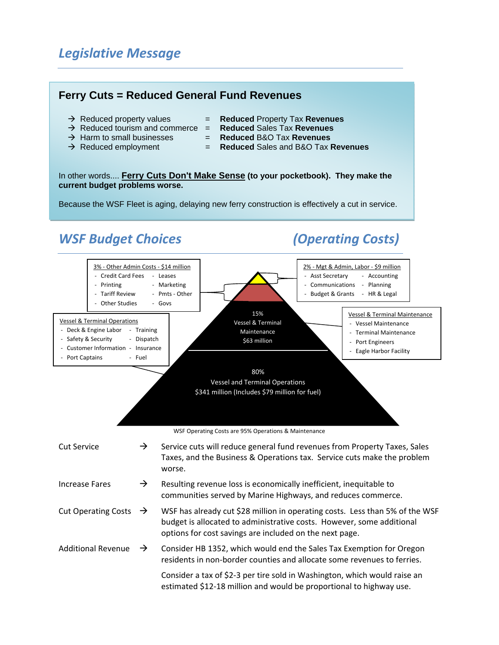## *Legislative Message*

#### **Ferry Cuts = Reduced General Fund Revenues**

- 
- Æ Reduced property values = **Reduced** Property Tax **Revenues**
- Æ Reduced tourism and commerce = **Reduced** Sales Tax **Revenues**
- Æ Harm to small businesses = **Reduced** B&O Tax **Revenues**
- Æ Reduced employment = **Reduced** Sales and B&O Tax **Revenues**

In other words.... **Ferry Cuts Don't Make Sense (to your pocketbook). They make the current budget problems worse.**

Because the WSF Fleet is aging, delaying new ferry construction is effectively a cut in service.

## *WSF Budget Choices (Operating Costs)*

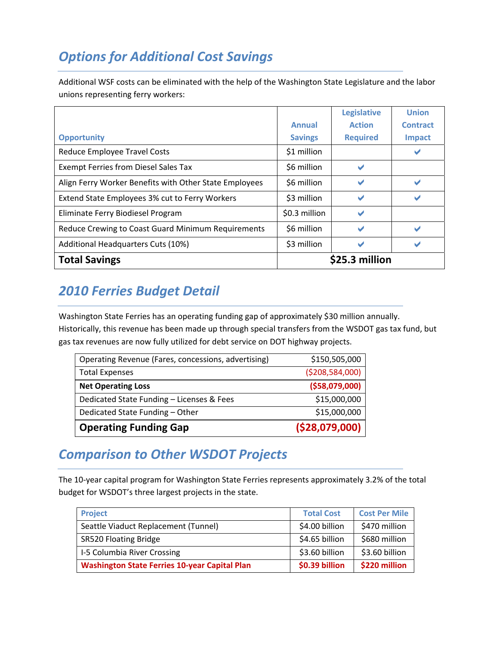# *Options for Additional Cost Savings*

Additional WSF costs can be eliminated with the help of the Washington State Legislature and the labor unions representing ferry workers:

|                                                        |                | <b>Legislative</b>       | <b>Union</b>    |
|--------------------------------------------------------|----------------|--------------------------|-----------------|
|                                                        | <b>Annual</b>  | <b>Action</b>            | <b>Contract</b> |
| <b>Opportunity</b>                                     | <b>Savings</b> | <b>Required</b>          | <b>Impact</b>   |
| <b>Reduce Employee Travel Costs</b>                    | \$1 million    |                          |                 |
| <b>Exempt Ferries from Diesel Sales Tax</b>            | \$6 million    | $\overline{\phantom{a}}$ |                 |
| Align Ferry Worker Benefits with Other State Employees | \$6 million    | $\overline{\phantom{a}}$ |                 |
| Extend State Employees 3% cut to Ferry Workers         | \$3 million    | $\overline{\phantom{a}}$ |                 |
| Eliminate Ferry Biodiesel Program                      | \$0.3 million  | $\overline{\phantom{a}}$ |                 |
| Reduce Crewing to Coast Guard Minimum Requirements     | \$6 million    | $\overline{\phantom{a}}$ |                 |
| Additional Headquarters Cuts (10%)                     | \$3 million    | $\overline{\phantom{a}}$ |                 |
| <b>Total Savings</b>                                   |                | \$25.3 million           |                 |

## *2010 Ferries Budget Detail*

Washington State Ferries has an operating funding gap of approximately \$30 million annually. Historically, this revenue has been made up through special transfers from the WSDOT gas tax fund, but gas tax revenues are now fully utilized for debt service on DOT highway projects.

| <b>Operating Funding Gap</b>                        | ( \$28,079,000]    |
|-----------------------------------------------------|--------------------|
| Dedicated State Funding - Other                     | \$15,000,000       |
| Dedicated State Funding - Licenses & Fees           | \$15,000,000       |
| <b>Net Operating Loss</b>                           | ( \$58,079,000]    |
| <b>Total Expenses</b>                               | ( \$208, 584, 000) |
| Operating Revenue (Fares, concessions, advertising) | \$150,505,000      |

## *Comparison to Other WSDOT Projects*

The 10‐year capital program for Washington State Ferries represents approximately 3.2% of the total budget for WSDOT's three largest projects in the state.

| <b>Project</b>                                       | <b>Total Cost</b> | <b>Cost Per Mile</b> |
|------------------------------------------------------|-------------------|----------------------|
| Seattle Viaduct Replacement (Tunnel)                 | \$4.00 billion    | \$470 million        |
| <b>SR520 Floating Bridge</b>                         | \$4.65 billion    | \$680 million        |
| I-5 Columbia River Crossing                          | \$3.60 billion    | \$3.60 billion       |
| <b>Washington State Ferries 10-year Capital Plan</b> | \$0.39 billion    | \$220 million        |